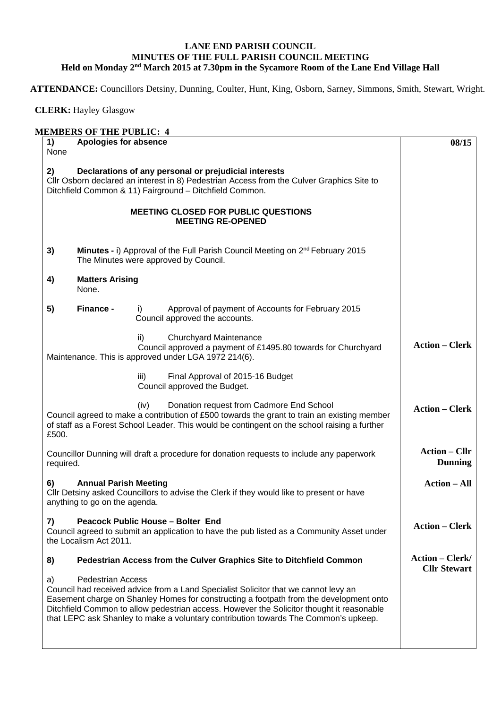## **LANE END PARISH COUNCIL MINUTES OF THE FULL PARISH COUNCIL MEETING Held on Monday 2nd March 2015 at 7.30pm in the Sycamore Room of the Lane End Village Hall**

**ATTENDANCE:** Councillors Detsiny, Dunning, Coulter, Hunt, King, Osborn, Sarney, Simmons, Smith, Stewart, Wright.

 **CLERK:** Hayley Glasgow

| 2)<br>3)<br>4)<br>5) | <b>Matters Arising</b><br>None.<br>Finance -                  | Declarations of any personal or prejudicial interests<br>CIIr Osborn declared an interest in 8) Pedestrian Access from the Culver Graphics Site to<br>Ditchfield Common & 11) Fairground - Ditchfield Common.<br><b>MEETING CLOSED FOR PUBLIC QUESTIONS</b><br><b>MEETING RE-OPENED</b><br>Minutes - i) Approval of the Full Parish Council Meeting on 2 <sup>nd</sup> February 2015<br>The Minutes were approved by Council.<br>Approval of payment of Accounts for February 2015<br>I)<br>Council approved the accounts. |                                               |
|----------------------|---------------------------------------------------------------|----------------------------------------------------------------------------------------------------------------------------------------------------------------------------------------------------------------------------------------------------------------------------------------------------------------------------------------------------------------------------------------------------------------------------------------------------------------------------------------------------------------------------|-----------------------------------------------|
|                      |                                                               |                                                                                                                                                                                                                                                                                                                                                                                                                                                                                                                            |                                               |
|                      |                                                               |                                                                                                                                                                                                                                                                                                                                                                                                                                                                                                                            |                                               |
|                      |                                                               |                                                                                                                                                                                                                                                                                                                                                                                                                                                                                                                            |                                               |
|                      |                                                               |                                                                                                                                                                                                                                                                                                                                                                                                                                                                                                                            |                                               |
|                      |                                                               |                                                                                                                                                                                                                                                                                                                                                                                                                                                                                                                            |                                               |
|                      |                                                               | Churchyard Maintenance<br>ii)<br>Council approved a payment of £1495.80 towards for Churchyard<br>Maintenance. This is approved under LGA 1972 214(6).                                                                                                                                                                                                                                                                                                                                                                     | <b>Action – Clerk</b>                         |
|                      |                                                               | Final Approval of 2015-16 Budget<br>iii)<br>Council approved the Budget.                                                                                                                                                                                                                                                                                                                                                                                                                                                   |                                               |
| £500.                |                                                               | Donation request from Cadmore End School<br>(iv)<br>Council agreed to make a contribution of £500 towards the grant to train an existing member<br>of staff as a Forest School Leader. This would be contingent on the school raising a further                                                                                                                                                                                                                                                                            | <b>Action – Clerk</b>                         |
| required.            |                                                               | Councillor Dunning will draft a procedure for donation requests to include any paperwork                                                                                                                                                                                                                                                                                                                                                                                                                                   | <b>Action – Cllr</b><br><b>Dunning</b>        |
| 6)                   | <b>Annual Parish Meeting</b><br>anything to go on the agenda. | CIIr Detsiny asked Councillors to advise the Clerk if they would like to present or have                                                                                                                                                                                                                                                                                                                                                                                                                                   | <b>Action – All</b>                           |
| 7)                   | the Localism Act 2011.                                        | Peacock Public House - Bolter End<br>Council agreed to submit an application to have the pub listed as a Community Asset under                                                                                                                                                                                                                                                                                                                                                                                             | <b>Action – Clerk</b>                         |
| 8)                   |                                                               | Pedestrian Access from the Culver Graphics Site to Ditchfield Common                                                                                                                                                                                                                                                                                                                                                                                                                                                       | <b>Action – Clerk/</b><br><b>Cllr Stewart</b> |
| a)                   | <b>Pedestrian Access</b>                                      | Council had received advice from a Land Specialist Solicitor that we cannot levy an<br>Easement charge on Shanley Homes for constructing a footpath from the development onto<br>Ditchfield Common to allow pedestrian access. However the Solicitor thought it reasonable<br>that LEPC ask Shanley to make a voluntary contribution towards The Common's upkeep.                                                                                                                                                          |                                               |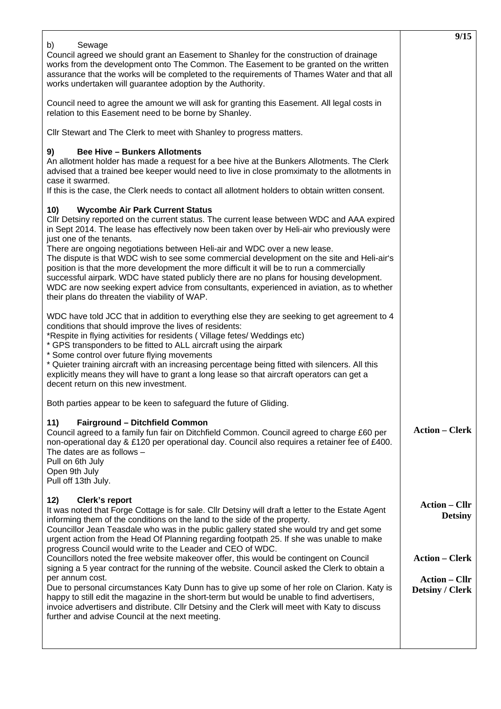|                                                                                                                                                                                                                                                                                                                                                                                                                                                                                                                                                                                                                                                                                                                                                                                                                                                                                  | 9/15                                                                                                              |
|----------------------------------------------------------------------------------------------------------------------------------------------------------------------------------------------------------------------------------------------------------------------------------------------------------------------------------------------------------------------------------------------------------------------------------------------------------------------------------------------------------------------------------------------------------------------------------------------------------------------------------------------------------------------------------------------------------------------------------------------------------------------------------------------------------------------------------------------------------------------------------|-------------------------------------------------------------------------------------------------------------------|
| b)<br>Sewage<br>Council agreed we should grant an Easement to Shanley for the construction of drainage<br>works from the development onto The Common. The Easement to be granted on the written<br>assurance that the works will be completed to the requirements of Thames Water and that all<br>works undertaken will guarantee adoption by the Authority.                                                                                                                                                                                                                                                                                                                                                                                                                                                                                                                     |                                                                                                                   |
| Council need to agree the amount we will ask for granting this Easement. All legal costs in<br>relation to this Easement need to be borne by Shanley.                                                                                                                                                                                                                                                                                                                                                                                                                                                                                                                                                                                                                                                                                                                            |                                                                                                                   |
| Cllr Stewart and The Clerk to meet with Shanley to progress matters.                                                                                                                                                                                                                                                                                                                                                                                                                                                                                                                                                                                                                                                                                                                                                                                                             |                                                                                                                   |
| <b>Bee Hive - Bunkers Allotments</b><br>9)<br>An allotment holder has made a request for a bee hive at the Bunkers Allotments. The Clerk<br>advised that a trained bee keeper would need to live in close promximaty to the allotments in<br>case it swarmed.<br>If this is the case, the Clerk needs to contact all allotment holders to obtain written consent.                                                                                                                                                                                                                                                                                                                                                                                                                                                                                                                |                                                                                                                   |
| <b>Wycombe Air Park Current Status</b><br>10)<br>Cllr Detsiny reported on the current status. The current lease between WDC and AAA expired<br>in Sept 2014. The lease has effectively now been taken over by Heli-air who previously were<br>just one of the tenants.<br>There are ongoing negotiations between Heli-air and WDC over a new lease.<br>The dispute is that WDC wish to see some commercial development on the site and Heli-air's<br>position is that the more development the more difficult it will be to run a commercially<br>successful airpark. WDC have stated publicly there are no plans for housing development.<br>WDC are now seeking expert advice from consultants, experienced in aviation, as to whether<br>their plans do threaten the viability of WAP.                                                                                        |                                                                                                                   |
| WDC have told JCC that in addition to everything else they are seeking to get agreement to 4<br>conditions that should improve the lives of residents:<br>*Respite in flying activities for residents (Village fetes/Weddings etc)<br>* GPS transponders to be fitted to ALL aircraft using the airpark<br>* Some control over future flying movements<br>* Quieter training aircraft with an increasing percentage being fitted with silencers. All this<br>explicitly means they will have to grant a long lease so that aircraft operators can get a<br>decent return on this new investment.                                                                                                                                                                                                                                                                                 |                                                                                                                   |
| Both parties appear to be keen to safeguard the future of Gliding.                                                                                                                                                                                                                                                                                                                                                                                                                                                                                                                                                                                                                                                                                                                                                                                                               |                                                                                                                   |
| 11)<br><b>Fairground - Ditchfield Common</b><br>Council agreed to a family fun fair on Ditchfield Common. Council agreed to charge £60 per<br>non-operational day & £120 per operational day. Council also requires a retainer fee of £400.<br>The dates are as follows $-$<br>Pull on 6th July<br>Open 9th July<br>Pull off 13th July.                                                                                                                                                                                                                                                                                                                                                                                                                                                                                                                                          | <b>Action – Clerk</b>                                                                                             |
| <b>Clerk's report</b><br>12)<br>It was noted that Forge Cottage is for sale. Cllr Detsiny will draft a letter to the Estate Agent<br>informing them of the conditions on the land to the side of the property.<br>Councillor Jean Teasdale who was in the public gallery stated she would try and get some<br>urgent action from the Head Of Planning regarding footpath 25. If she was unable to make<br>progress Council would write to the Leader and CEO of WDC.<br>Councillors noted the free website makeover offer, this would be contingent on Council<br>signing a 5 year contract for the running of the website. Council asked the Clerk to obtain a<br>per annum cost.<br>Due to personal circumstances Katy Dunn has to give up some of her role on Clarion. Katy is<br>happy to still edit the magazine in the short-term but would be unable to find advertisers, | <b>Action - Cllr</b><br><b>Detsiny</b><br><b>Action - Clerk</b><br><b>Action – Cllr</b><br><b>Detsiny / Clerk</b> |
| invoice advertisers and distribute. Cllr Detsiny and the Clerk will meet with Katy to discuss<br>further and advise Council at the next meeting.                                                                                                                                                                                                                                                                                                                                                                                                                                                                                                                                                                                                                                                                                                                                 |                                                                                                                   |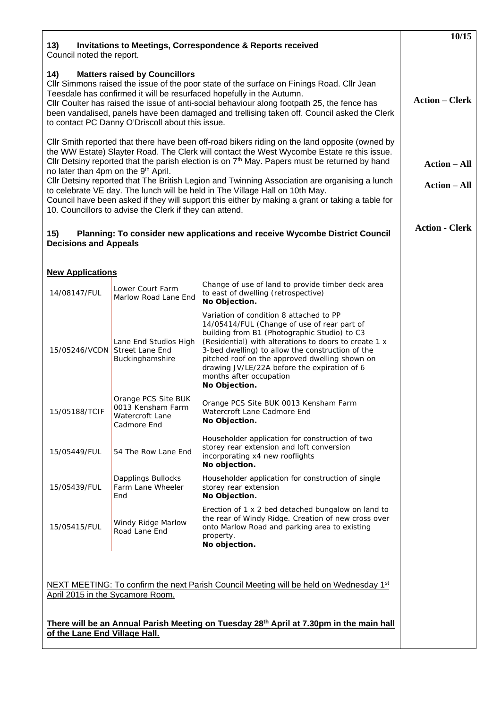| <b>Invitations to Meetings, Correspondence &amp; Reports received</b><br>13)<br>Council noted the report.                                                                                                                                                                                                                                                                                                                                                                                                                                                                                                                                                                                          | 10/15                                                                                                                                                                                                                                                                                                                                                                                             |  |
|----------------------------------------------------------------------------------------------------------------------------------------------------------------------------------------------------------------------------------------------------------------------------------------------------------------------------------------------------------------------------------------------------------------------------------------------------------------------------------------------------------------------------------------------------------------------------------------------------------------------------------------------------------------------------------------------------|---------------------------------------------------------------------------------------------------------------------------------------------------------------------------------------------------------------------------------------------------------------------------------------------------------------------------------------------------------------------------------------------------|--|
| <b>Matters raised by Councillors</b><br>14)<br>CIIr Simmons raised the issue of the poor state of the surface on Finings Road. CIIr Jean<br>Teesdale has confirmed it will be resurfaced hopefully in the Autumn.<br>Cllr Coulter has raised the issue of anti-social behaviour along footpath 25, the fence has<br>been vandalised, panels have been damaged and trellising taken off. Council asked the Clerk<br>to contact PC Danny O'Driscoll about this issue.                                                                                                                                                                                                                                | <b>Action – Clerk</b>                                                                                                                                                                                                                                                                                                                                                                             |  |
| CIIr Smith reported that there have been off-road bikers riding on the land opposite (owned by<br>the WW Estate) Slayter Road. The Clerk will contact the West Wycombe Estate re this issue.<br>Cllr Detsiny reported that the parish election is on $7th$ May. Papers must be returned by hand<br>no later than 4pm on the 9 <sup>th</sup> April.<br>CIIr Detsiny reported that The British Legion and Twinning Association are organising a lunch<br>to celebrate VE day. The lunch will be held in The Village Hall on 10th May.<br>Council have been asked if they will support this either by making a grant or taking a table for<br>10. Councillors to advise the Clerk if they can attend. | <b>Action – All</b><br><b>Action – All</b>                                                                                                                                                                                                                                                                                                                                                        |  |
| Planning: To consider new applications and receive Wycombe District Council<br>15)<br><b>Decisions and Appeals</b>                                                                                                                                                                                                                                                                                                                                                                                                                                                                                                                                                                                 | <b>Action - Clerk</b>                                                                                                                                                                                                                                                                                                                                                                             |  |
| <b>New Applications</b>                                                                                                                                                                                                                                                                                                                                                                                                                                                                                                                                                                                                                                                                            |                                                                                                                                                                                                                                                                                                                                                                                                   |  |
| Lower Court Farm<br>14/08147/FUL<br>Marlow Road Lane End                                                                                                                                                                                                                                                                                                                                                                                                                                                                                                                                                                                                                                           | Change of use of land to provide timber deck area<br>to east of dwelling (retrospective)<br>No Objection.                                                                                                                                                                                                                                                                                         |  |
| Lane End Studios High<br>15/05246/VCDN Street Lane End<br>Buckinghamshire                                                                                                                                                                                                                                                                                                                                                                                                                                                                                                                                                                                                                          | Variation of condition 8 attached to PP<br>14/05414/FUL (Change of use of rear part of<br>building from B1 (Photographic Studio) to C3<br>(Residential) with alterations to doors to create 1 x<br>3-bed dwelling) to allow the construction of the<br>pitched roof on the approved dwelling shown on<br>drawing JV/LE/22A before the expiration of 6<br>months after occupation<br>No Objection. |  |
| Orange PCS Site BUK<br>0013 Kensham Farm<br>15/05188/TCIF<br>Watercroft Lane<br>Cadmore End                                                                                                                                                                                                                                                                                                                                                                                                                                                                                                                                                                                                        | Orange PCS Site BUK 0013 Kensham Farm<br>Watercroft Lane Cadmore End<br>No Objection.                                                                                                                                                                                                                                                                                                             |  |
| 54 The Row Lane End<br>15/05449/FUL                                                                                                                                                                                                                                                                                                                                                                                                                                                                                                                                                                                                                                                                | Householder application for construction of two<br>storey rear extension and loft conversion<br>incorporating x4 new rooflights<br>No objection.                                                                                                                                                                                                                                                  |  |
| Dapplings Bullocks<br>Farm Lane Wheeler<br>15/05439/FUL<br>End                                                                                                                                                                                                                                                                                                                                                                                                                                                                                                                                                                                                                                     | Householder application for construction of single<br>storey rear extension<br>No Objection.                                                                                                                                                                                                                                                                                                      |  |
| Windy Ridge Marlow<br>15/05415/FUL<br>Road Lane End                                                                                                                                                                                                                                                                                                                                                                                                                                                                                                                                                                                                                                                | Erection of 1 x 2 bed detached bungalow on land to<br>the rear of Windy Ridge. Creation of new cross over<br>onto Marlow Road and parking area to existing<br>property.<br>No objection.                                                                                                                                                                                                          |  |
| NEXT MEETING: To confirm the next Parish Council Meeting will be held on Wednesday 1 <sup>st</sup><br>April 2015 in the Sycamore Room.                                                                                                                                                                                                                                                                                                                                                                                                                                                                                                                                                             |                                                                                                                                                                                                                                                                                                                                                                                                   |  |
| There will be an Annual Parish Meeting on Tuesday 28 <sup>th</sup> April at 7.30pm in the main hall<br>of the Lane End Village Hall.                                                                                                                                                                                                                                                                                                                                                                                                                                                                                                                                                               |                                                                                                                                                                                                                                                                                                                                                                                                   |  |